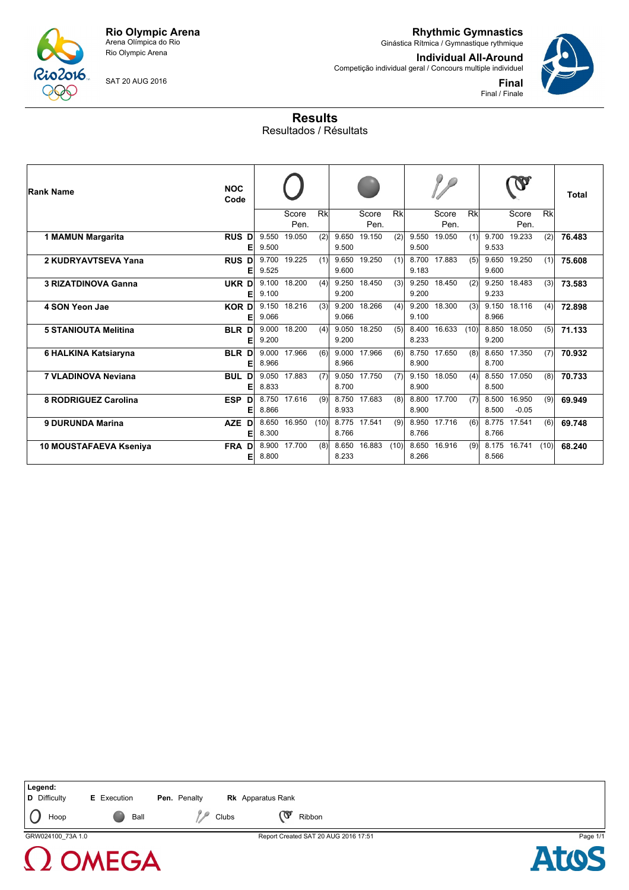

Rio Olympic Arena

**Rhythmic Gymnastics** Ginástica Rítmica / Gymnastique rythmique

Competição individual geral / Concours multiple individuel

**Individual All-Around**

**Final** Final / Finale

SAT 20 AUG 2016

**Results** Resultados / Résultats

| <b>Rank Name</b>            | <b>NOC</b><br>Code   |                |               |      |                |               |      |                |               |      |                |                   |      | Total  |
|-----------------------------|----------------------|----------------|---------------|------|----------------|---------------|------|----------------|---------------|------|----------------|-------------------|------|--------|
|                             |                      |                | Score<br>Pen. | Rk   |                | Score<br>Pen. | Rk   |                | Score<br>Pen. | Rk   |                | Score<br>Pen.     | Rk   |        |
| 1 MAMUN Margarita           | <b>RUS D</b><br>E    | 9.550<br>9.500 | 19.050        | (2)  | 9.650<br>9.500 | 19.150        | (2)  | 9.550<br>9.500 | 19.050        | (1)  | 9.700<br>9.533 | 19.233            | (2)  | 76.483 |
| 2 KUDRYAVTSEVA Yana         | <b>RUS D</b><br>E    | 9.700<br>9.525 | 19.225        | (1)  | 9.600          | 9.650 19.250  | (1)  | 9.183          | 8.700 17.883  | (5)  | 9.650<br>9.600 | 19.250            | (1)  | 75.608 |
| <b>3 RIZATDINOVA Ganna</b>  | UKR D<br>E           | 9.100<br>9.100 | 18.200        | (4)  | 9.200          | 9.250 18.450  | (3)  | 9.200          | 9.250 18.450  | (2)  | 9.250<br>9.233 | 18.483            | (3)  | 73.583 |
| 4 SON Yeon Jae              | <b>KORD</b><br>Е     | 9.150<br>9.066 | 18.216        | (3)  | 9.200<br>9.066 | 18.266        | (4)  | 9.100          | 9.200 18.300  | (3)  | 9.150<br>8.966 | 18.116            | (4)  | 72.898 |
| <b>5 STANIOUTA Melitina</b> | <b>BLR D</b><br>E    | 9.000<br>9.200 | 18.200        | (4)  | 9.050<br>9.200 | 18.250        | (5)  | 8.400<br>8.233 | 16.633        | (10) | 8.850<br>9.200 | 18.050            | (5)  | 71.133 |
| 6 HALKINA Katsiaryna        | BLR D<br>E           | 9.000<br>8.966 | 17.966        | (6)  | 9.000<br>8.966 | 17.966        | (6)  | 8.900          | 8.750 17.650  | (8)  | 8.650<br>8.700 | 17.350            | (7)  | 70.932 |
| 7 VLADINOVA Neviana         | <b>BUL D</b><br>Е    | 9.050<br>8.833 | 17.883        | (7)  | 9.050<br>8.700 | 17.750        | (7)  | 9.150<br>8.900 | 18.050        | (4)  | 8.550<br>8.500 | 17.050            | (8)  | 70.733 |
| 8 RODRIGUEZ Carolina        | <b>ESP</b><br>D<br>E | 8.750<br>8.866 | 17.616        | (9)  | 8.750<br>8.933 | 17.683        | (8)  | 8.800<br>8.900 | 17.700        | (7)  | 8.500<br>8.500 | 16.950<br>$-0.05$ | (9)  | 69.949 |
| <b>9 DURUNDA Marina</b>     | <b>AZE</b><br>D<br>E | 8.650<br>8.300 | 16.950        | (10) | 8.775<br>8.766 | 17.541        | (9)  | 8.950<br>8.766 | 17.716        | (6)  | 8.775<br>8.766 | 17.541            | (6)  | 69.748 |
| 10 MOUSTAFAEVA Kseniya      | FRA D<br>Е           | 8.900<br>8.800 | 17.700        | (8)  | 8.650<br>8.233 | 16.883        | (10) | 8.650<br>8.266 | 16.916        | (9)  | 8.175<br>8.566 | 16.741            | (10) | 68.240 |

| Legend:<br>D Difficulty | <b>E</b> Execution | Pen. Penalty |       | <b>Rk</b> Apparatus Rank |                                      |          |
|-------------------------|--------------------|--------------|-------|--------------------------|--------------------------------------|----------|
| Hoop                    | Ball               |              | Clubs | ൚                        | Ribbon                               |          |
| GRW024100 73A 1.0       |                    |              |       |                          | Report Created SAT 20 AUG 2016 17:51 | Page 1/1 |
|                         | 1 OMEGA            |              |       |                          |                                      |          |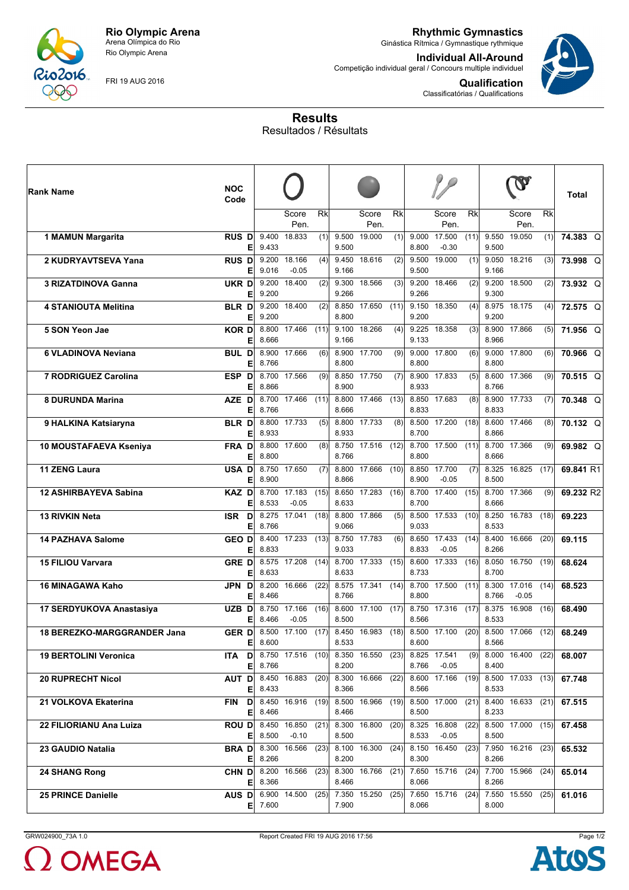

Rio Olympic Arena

FRI 19 AUG 2016

**Rhythmic Gymnastics** Ginástica Rítmica / Gymnastique rythmique

**Individual All-Around**

Competição individual geral / Concours multiple individuel



**Qualification** Classificatórias / Qualifications

## **Results** Resultados / Résultats

| Rank Name                          | <b>NOC</b><br>Code             |                         |                                |                         |                |               |                          |                |                         |      |                |                         |           | <b>Total</b> |
|------------------------------------|--------------------------------|-------------------------|--------------------------------|-------------------------|----------------|---------------|--------------------------|----------------|-------------------------|------|----------------|-------------------------|-----------|--------------|
|                                    |                                |                         | Score<br>Pen.                  | $\overline{\mathsf{R}}$ |                | Score<br>Pen. | $\overline{\mathsf{Rk}}$ |                | Score<br>Pen.           | Rk   |                | Score<br>Pen.           | <b>Rk</b> |              |
| 1 MAMUN Margarita                  | <b>RUS DI</b><br>E             | 9.400<br>9.433          | 18.833                         | (1)                     | 9.500<br>9.500 | 19.000        | (1)                      | 9.000<br>8.800 | 17.500<br>$-0.30$       | (11) | 9.550<br>9.500 | 19.050                  | (1)       | 74.383 Q     |
| 2 KUDRYAVTSEVA Yana                | <b>RUS D</b><br>E              | 9.200<br>9.016          | 18.166<br>$-0.05$              | (4)                     | 9.450<br>9.166 | 18.616        | (2)                      | 9.500<br>9.500 | 19.000                  | (1)  | 9.050<br>9.166 | 18.216                  | (3)       | 73.998 Q     |
| <b>3 RIZATDINOVA Ganna</b>         | UKR D                          | 9.200                   | 18.400                         | (2)                     | 9.300          | 18.566        | (3)                      |                | 9.200 18.466            | (2)  | 9.200          | 18.500                  | (2)       | 73.932 Q     |
| <b>4 STANIOUTA Melitina</b>        | Е<br><b>BLR D</b>              | 9.200<br>9.200<br>9.200 | 18.400                         | (2)                     | 9.266<br>8.800 | 8.850 17.650  | (11)                     | 9.266<br>9.200 | 9.150 18.350            | (4)  | 9.300<br>9.200 | 8.975 18.175            | (4)       | 72.575 Q     |
| 5 SON Yeon Jae                     | E<br><b>KORD</b><br>E          | 8.666                   | 8.800 17.466                   | (11)                    | 9.166          | 9.100 18.266  | (4)                      | 9.133          | 9.225 18.358            | (3)  | 8.966          | 8.900 17.866            | (5)       | 71.956 Q     |
| 6 VLADINOVA Neviana                | <b>BUL D</b><br>E              | 8.766                   | 8.900 17.666                   | (6)                     | 8.800          | 8.900 17.700  | (9)                      | 8.800          | 9.000 17.800            | (6)  | 8.800          | 9.000 17.800            | (6)       | 70.966 Q     |
| 7 RODRIGUEZ Carolina               | ESP D<br>E                     | 8.866                   | 8.700 17.566                   | (9)                     | 8.900          | 8.850 17.750  | (7)                      | 8.933          | 8.900 17.833            | (5)  | 8.766          | 8.600 17.366            | (9)       | 70.515 Q     |
| 8 DURUNDA Marina                   | AZE D<br>E                     | 8.700<br>8.766          | 17.466                         | (11)                    | 8.666          | 8.800 17.466  | (13)                     | 8.833          | 8.850 17.683            | (8)  | 8.900<br>8.833 | 17.733                  | (7)       | 70.348 Q     |
| 9 HALKINA Katsiaryna               | BLR D<br>Е                     | 8.800<br>8.933          | 17.733                         | (5)                     | 8.933          | 8.800 17.733  | (8)                      | 8.700          | 8.500 17.200            | (18) | 8.600<br>8.866 | 17.466                  | (8)       | 70.132 Q     |
| 10 MOUSTAFAEVA Kseniya             | FRA D<br>E                     | 8.800                   | 8.800 17.600                   | (8)                     | 8.766          | 8.750 17.516  | (12)                     | 8.800          | 8.700 17.500            | (11) | 8.666          | 8.700 17.366            | (9)       | 69.982 Q     |
| 11 ZENG Laura                      | <b>USA D</b><br>E              | 8.750<br>8.900          | 17.650                         | (7)                     | 8.866          | 8.800 17.666  | (10)                     | 8.850<br>8.900 | 17.700<br>$-0.05$       | (7)  | 8.500          | 8.325 16.825            | (17)      | 69.841 R1    |
| <b>12 ASHIRBAYEVA Sabina</b>       | <b>KAZ D</b><br>E              | 8.700<br>8.533          | 17.183<br>$-0.05$              | (15)                    | 8.633          | 8.650 17.283  | (16)                     | 8.700          | 8.700 17.400            | (15) | 8.666          | 8.700 17.366            | (9)       | 69.232 R2    |
| <b>13 RIVKIN Neta</b>              | ISR D<br>E                     | 8.766                   | 8.275 17.041                   | (18)                    | 9.066          | 8.800 17.866  | (5)                      | 9.033          | 8.500 17.533            | (10) | 8.533          | 8.250 16.783            | (18)      | 69.223       |
| <b>14 PAZHAVA Salome</b>           | <b>GEO D</b><br>E              | 8.400<br>8.833          | $\overline{17.233}$            | (13)                    | 9.033          | 8.750 17.783  | (6)                      | 8.650<br>8.833 | 17.433<br>$-0.05$       | (14) | 8.400<br>8.266 | 16.666                  | (20)      | 69.115       |
| <b>15 FILIOU Varvara</b>           | <b>GRED</b><br>Е               | 8.633                   | 8.575 17.208                   | (14)                    | 8.633          | 8.700 17.333  | (15)                     | 8.733          | 8.600 17.333            | (16) | 8.050<br>8.700 | 16.750                  | (19)      | 68.624       |
| <b>16 MINAGAWA Kaho</b>            | JPN D<br>E                     | 8.200<br>8.466          | 16.666                         | (22)                    | 8.766          | 8.575 17.341  | (14)                     | 8.800          | 8.700 17.500            | (11) | 8.766          | 8.300 17.016<br>$-0.05$ | (14)      | 68.523       |
| 17 SERDYUKOVA Anastasiya           | UZB D<br>E                     | 8.750<br>8.466          | 17.166<br>$-0.05$              | (16)                    | 8.500          | 8.600 17.100  | (17)                     | 8.566          | 8.750 17.316            | (17) | 8.375<br>8.533 | 16.908                  | (16)      | 68.490       |
| <b>18 BEREZKO-MARGGRANDER Jana</b> | <b>GERD</b><br>$E_{\parallel}$ | 8.600                   | 8.500 17.100                   | (17)                    | 8.533          | 8.450 16.983  | (18)                     | 8.600          | 8.500 17.100            | (20) | 8.566          | 8.500 17.066            | (12)      | 68.249       |
| <b>19 BERTOLINI Veronica</b>       | Е                              | 8.766                   | <b>ITA D</b> 8.750 17.516 (10) |                         | 8.200          | 8.350 16.550  | (23)                     | 8.766          | 8.825 17.541<br>$-0.05$ | (9)  | 8.400          | 8.000 16.400            | (22)      | 68.007       |
| <b>20 RUPRECHT Nicol</b>           | AUT D<br>Е                     | 8.433                   | 8.450 16.883                   | (20)                    | 8.366          | 8.300 16.666  | (22)                     | 8.566          | 8.600 17.166            | (19) | 8.533          | 8.500 17.033            | (13)      | 67.748       |
| 21 VOLKOVA Ekaterina               | <b>FIN</b><br>D<br>E           | 8.466                   | 8.450 16.916                   | (19)                    | 8.466          | 8.500 16.966  | (19)                     | 8.500          | 8.500 17.000            | (21) | 8.233          | 8.400 16.633            | (21)      | 67.515       |
| 22 FILIORIANU Ana Luiza            | ROU DI<br>Е                    | 8.500                   | 8.450 16.850<br>$-0.10$        | (21)                    | 8.500          | 8.300 16.800  | (20)                     | 8.533          | 8.325 16.808<br>$-0.05$ | (22) | 8.500          | 8.500 17.000            | (15)      | 67.458       |
| 23 GAUDIO Natalia                  | <b>BRAD</b><br>Е               | 8.266                   | 8.300 16.566                   | (23)                    | 8.200          | 8.100 16.300  | (24)                     | 8.300          | 8.150 16.450            | (23) | 8.266          | 7.950 16.216            | (23)      | 65.532       |
| 24 SHANG Rong                      | CHN D<br>Е                     | 8.366                   | 8.200 16.566                   | (23)                    | 8.466          | 8.300 16.766  | (21)                     | 8.066          | 7.650 15.716            | (24) | 8.266          | 7.700 15.966            | (24)      | 65.014       |
| <b>25 PRINCE Danielle</b>          | AUS D<br>E                     | 7.600                   | 6.900 14.500                   | (25)                    | 7.900          | 7.350 15.250  | (25)                     | 8.066          | 7.650 15.716            | (24) | 8.000          | 7.550 15.550            | (25)      | 61.016       |

 $\Omega$  OMEGA